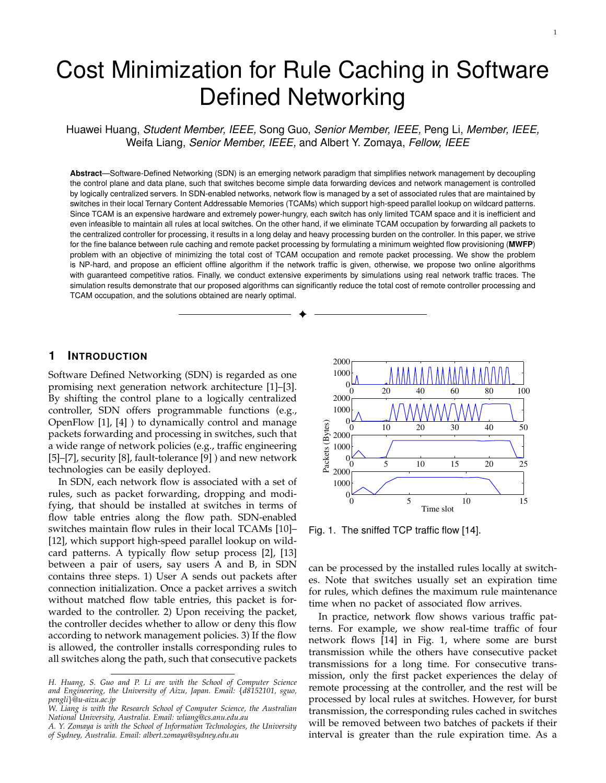# Cost Minimization for Rule Caching in Software Defined Networking

Huawei Huang, *Student Member, IEEE,* Song Guo, *Senior Member, IEEE,* Peng Li, *Member, IEEE,* Weifa Liang, *Senior Member, IEEE,* and Albert Y. Zomaya, *Fellow, IEEE*

**Abstract**—Software-Defined Networking (SDN) is an emerging network paradigm that simplifies network management by decoupling the control plane and data plane, such that switches become simple data forwarding devices and network management is controlled by logically centralized servers. In SDN-enabled networks, network flow is managed by a set of associated rules that are maintained by switches in their local Ternary Content Addressable Memories (TCAMs) which support high-speed parallel lookup on wildcard patterns. Since TCAM is an expensive hardware and extremely power-hungry, each switch has only limited TCAM space and it is inefficient and even infeasible to maintain all rules at local switches. On the other hand, if we eliminate TCAM occupation by forwarding all packets to the centralized controller for processing, it results in a long delay and heavy processing burden on the controller. In this paper, we strive for the fine balance between rule caching and remote packet processing by formulating a minimum weighted flow provisioning (**MWFP**) problem with an objective of minimizing the total cost of TCAM occupation and remote packet processing. We show the problem is NP-hard, and propose an efficient offline algorithm if the network traffic is given, otherwise, we propose two online algorithms with guaranteed competitive ratios. Finally, we conduct extensive experiments by simulations using real network traffic traces. The simulation results demonstrate that our proposed algorithms can significantly reduce the total cost of remote controller processing and TCAM occupation, and the solutions obtained are nearly optimal.

✦

## **1 INTRODUCTION**

Software Defined Networking (SDN) is regarded as one promising next generation network architecture [1]–[3]. By shifting the control plane to a logically centralized controller, SDN offers programmable functions (e.g., OpenFlow [1], [4] ) to dynamically control and manage packets forwarding and processing in switches, such that a wide range of network policies (e.g., traffic engineering [5]–[7], security [8], fault-tolerance [9] ) and new network technologies can be easily deployed.

In SDN, each network flow is associated with a set of rules, such as packet forwarding, dropping and modifying, that should be installed at switches in terms of flow table entries along the flow path. SDN-enabled switches maintain flow rules in their local TCAMs [10]– [12], which support high-speed parallel lookup on wildcard patterns. A typically flow setup process [2], [13] between a pair of users, say users A and B, in SDN contains three steps. 1) User A sends out packets after connection initialization. Once a packet arrives a switch without matched flow table entries, this packet is forwarded to the controller. 2) Upon receiving the packet, the controller decides whether to allow or deny this flow according to network management policies. 3) If the flow is allowed, the controller installs corresponding rules to all switches along the path, such that consecutive packets



Fig. 1. The sniffed TCP traffic flow [14].

can be processed by the installed rules locally at switches. Note that switches usually set an expiration time for rules, which defines the maximum rule maintenance time when no packet of associated flow arrives.

In practice, network flow shows various traffic patterns. For example, we show real-time traffic of four network flows [14] in Fig. 1, where some are burst transmission while the others have consecutive packet transmissions for a long time. For consecutive transmission, only the first packet experiences the delay of remote processing at the controller, and the rest will be processed by local rules at switches. However, for burst transmission, the corresponding rules cached in switches will be removed between two batches of packets if their interval is greater than the rule expiration time. As a

*H. Huang, S. Guo and P. Li are with the School of Computer Science and Engineering, the University of Aizu, Japan. Email: {d8152101, sguo, pengli}@u-aizu.ac.jp*

*W. Liang is with the Research School of Computer Science, the Australian National University, Australia. Email: wliang@cs.anu.edu.au*

*A. Y. Zomaya is with the School of Information Technologies, the University of Sydney, Australia. Email: albert.zomaya@sydney.edu.au*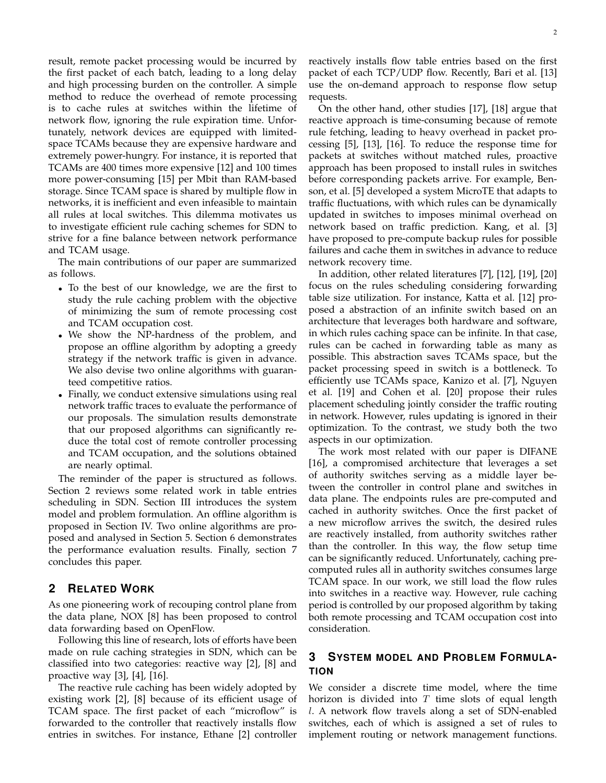result, remote packet processing would be incurred by the first packet of each batch, leading to a long delay and high processing burden on the controller. A simple method to reduce the overhead of remote processing is to cache rules at switches within the lifetime of network flow, ignoring the rule expiration time. Unfortunately, network devices are equipped with limitedspace TCAMs because they are expensive hardware and extremely power-hungry. For instance, it is reported that TCAMs are 400 times more expensive [12] and 100 times more power-consuming [15] per Mbit than RAM-based storage. Since TCAM space is shared by multiple flow in networks, it is inefficient and even infeasible to maintain all rules at local switches. This dilemma motivates us to investigate efficient rule caching schemes for SDN to strive for a fine balance between network performance and TCAM usage.

The main contributions of our paper are summarized as follows.

- *•* To the best of our knowledge, we are the first to study the rule caching problem with the objective of minimizing the sum of remote processing cost and TCAM occupation cost.
- *•* We show the NP-hardness of the problem, and propose an offline algorithm by adopting a greedy strategy if the network traffic is given in advance. We also devise two online algorithms with guaranteed competitive ratios.
- *•* Finally, we conduct extensive simulations using real network traffic traces to evaluate the performance of our proposals. The simulation results demonstrate that our proposed algorithms can significantly reduce the total cost of remote controller processing and TCAM occupation, and the solutions obtained are nearly optimal.

The reminder of the paper is structured as follows. Section 2 reviews some related work in table entries scheduling in SDN. Section III introduces the system model and problem formulation. An offline algorithm is proposed in Section IV. Two online algorithms are proposed and analysed in Section 5. Section 6 demonstrates the performance evaluation results. Finally, section 7 concludes this paper.

# **2 RELATED WORK**

As one pioneering work of recouping control plane from the data plane, NOX [8] has been proposed to control data forwarding based on OpenFlow.

Following this line of research, lots of efforts have been made on rule caching strategies in SDN, which can be classified into two categories: reactive way [2], [8] and proactive way [3], [4], [16].

The reactive rule caching has been widely adopted by existing work [2], [8] because of its efficient usage of TCAM space. The first packet of each "microflow" is forwarded to the controller that reactively installs flow entries in switches. For instance, Ethane [2] controller reactively installs flow table entries based on the first packet of each TCP/UDP flow. Recently, Bari et al. [13] use the on-demand approach to response flow setup requests.

On the other hand, other studies [17], [18] argue that reactive approach is time-consuming because of remote rule fetching, leading to heavy overhead in packet processing [5], [13], [16]. To reduce the response time for packets at switches without matched rules, proactive approach has been proposed to install rules in switches before corresponding packets arrive. For example, Benson, et al. [5] developed a system MicroTE that adapts to traffic fluctuations, with which rules can be dynamically updated in switches to imposes minimal overhead on network based on traffic prediction. Kang, et al. [3] have proposed to pre-compute backup rules for possible failures and cache them in switches in advance to reduce network recovery time.

In addition, other related literatures [7], [12], [19], [20] focus on the rules scheduling considering forwarding table size utilization. For instance, Katta et al. [12] proposed a abstraction of an infinite switch based on an architecture that leverages both hardware and software, in which rules caching space can be infinite. In that case, rules can be cached in forwarding table as many as possible. This abstraction saves TCAMs space, but the packet processing speed in switch is a bottleneck. To efficiently use TCAMs space, Kanizo et al. [7], Nguyen et al. [19] and Cohen et al. [20] propose their rules placement scheduling jointly consider the traffic routing in network. However, rules updating is ignored in their optimization. To the contrast, we study both the two aspects in our optimization.

The work most related with our paper is DIFANE [16], a compromised architecture that leverages a set of authority switches serving as a middle layer between the controller in control plane and switches in data plane. The endpoints rules are pre-computed and cached in authority switches. Once the first packet of a new microflow arrives the switch, the desired rules are reactively installed, from authority switches rather than the controller. In this way, the flow setup time can be significantly reduced. Unfortunately, caching precomputed rules all in authority switches consumes large TCAM space. In our work, we still load the flow rules into switches in a reactive way. However, rule caching period is controlled by our proposed algorithm by taking both remote processing and TCAM occupation cost into consideration.

# **3 SYSTEM MODEL AND PROBLEM FORMULA-TION**

We consider a discrete time model, where the time horizon is divided into *T* time slots of equal length *l*. A network flow travels along a set of SDN-enabled switches, each of which is assigned a set of rules to implement routing or network management functions.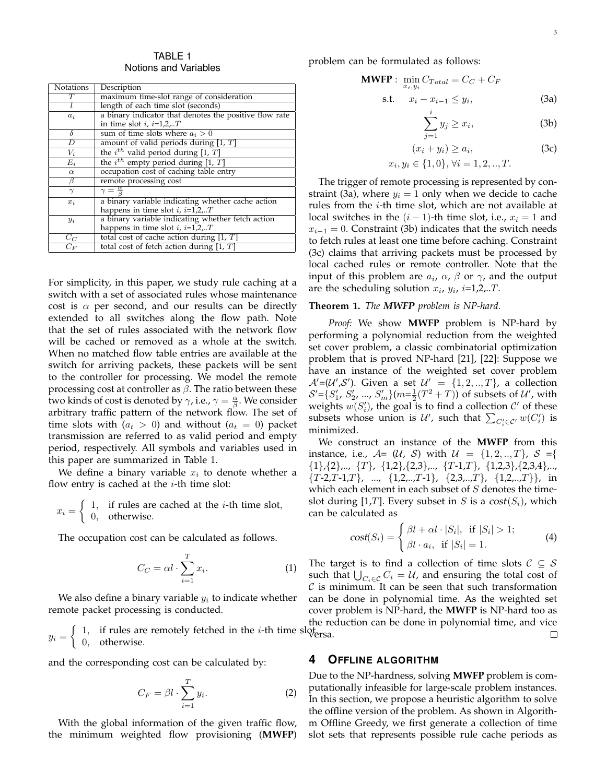TABLE 1 Notions and Variables

| Notations | Description                                            |
|-----------|--------------------------------------------------------|
| T         | maximum time-slot range of consideration               |
|           | length of each time slot (seconds)                     |
| $a_i$     | a binary indicator that denotes the positive flow rate |
|           | in time slot $i, i=1,2,T$                              |
| $\delta$  | sum of time slots where $a_i > 0$                      |
| D         | amount of valid periods during $[1, T]$                |
| $V_i$     | the $i^{th}$ valid period during [1, T]                |
| $E_i$     | the $i^{th}$ empty period during [1, T]                |
| $\alpha$  | occupation cost of caching table entry                 |
| β         | remote processing cost                                 |
| $\gamma$  | $\gamma = \frac{\alpha}{\beta}$                        |
| $x_i$     | a binary variable indicating whether cache action      |
|           | happens in time slot $i$ , $i=1,2T$                    |
| $y_i$     | a binary variable indicating whether fetch action      |
|           | happens in time slot $i, i=1,2T$                       |
| $C_C$     | total cost of cache action during $[1, T]$             |
| $C_F$     | total cost of fetch action during $[1, T]$             |
|           |                                                        |

For simplicity, in this paper, we study rule caching at a switch with a set of associated rules whose maintenance cost is  $\alpha$  per second, and our results can be directly extended to all switches along the flow path. Note that the set of rules associated with the network flow will be cached or removed as a whole at the switch. When no matched flow table entries are available at the switch for arriving packets, these packets will be sent to the controller for processing. We model the remote processing cost at controller as *β*. The ratio between these two kinds of cost is denoted by  $\gamma$ , i.e.,  $\gamma = \frac{\alpha}{\beta}$ . We consider arbitrary traffic pattern of the network flow. The set of time slots with  $(a_t > 0)$  and without  $(a_t = 0)$  packet transmission are referred to as valid period and empty period, respectively. All symbols and variables used in this paper are summarized in Table 1.

We define a binary variable  $x_i$  to denote whether a flow entry is cached at the *i*-th time slot:

 $x_i =$ { 1*,* if rules are cached at the *i*-th time slot*,* 0*,* otherwise*.*

The occupation cost can be calculated as follows.

$$
C_C = \alpha l \cdot \sum_{i=1}^{T} x_i.
$$
 (1)

We also define a binary variable *y<sup>i</sup>* to indicate whether remote packet processing is conducted.

 $y_i =$  $\int 1$ , if rules are remotely fetched in the *i*-th time slot<sub>i</sub> 1, if they are removely feached in the *t*-th time siquenza.<br>0, otherwise.

and the corresponding cost can be calculated by:

$$
C_F = \beta l \cdot \sum_{i=1}^{T} y_i.
$$
 (2)

With the global information of the given traffic flow, the minimum weighted flow provisioning (**MWFP**) problem can be formulated as follows:

$$
\begin{aligned} \text{MWFP}: \min_{x_i, y_i} C_{Total} &= C_C + C_F \\ \text{s.t.} \quad x_i - x_{i-1} &\leq y_i, \end{aligned} \tag{3a}
$$

$$
\sum_{i=1}^{i} y_i \ge x_i,\tag{3b}
$$

$$
\overline{j=1}
$$
  
\n $(x_i + y_i) \ge a_i,$   
\n $x_i, y_i \in \{1, 0\}, \forall i = 1, 2, ..., T.$  (3c)

The trigger of remote processing is represented by constraint (3a), where  $y_i = 1$  only when we decide to cache rules from the *i*-th time slot, which are not available at local switches in the  $(i - 1)$ -th time slot, i.e.,  $x_i = 1$  and  $x_{i-1} = 0$ . Constraint (3b) indicates that the switch needs to fetch rules at least one time before caching. Constraint (3c) claims that arriving packets must be processed by local cached rules or remote controller. Note that the input of this problem are *a<sup>i</sup>* , *α*, *β* or *γ*, and the output are the scheduling solution *x<sup>i</sup>* , *y<sup>i</sup>* , *i*=1,2,..*T*.

#### **Theorem 1.** *The MWFP problem is NP-hard.*

*Proof:* We show **MWFP** problem is NP-hard by performing a polynomial reduction from the weighted set cover problem, a classic combinatorial optimization problem that is proved NP-hard [21], [22]: Suppose we have an instance of the weighted set cover problem  $\mathcal{A}' = (\mathcal{U}', \mathcal{S}')$ . Given a set  $\mathcal{U}' = \{1, 2, ..., T\}$ , a collection  $S' = \{S'_1, S'_2, ..., S'_m\}$  ( $m = \frac{1}{2}(T^2 + T)$ ) of subsets of *U'*, with weights  $w(S'_i)$ , the goal is to find a collection  $\mathcal{C}'$  of these subsets whose union is  $\mathcal{U}'$ , such that  $\sum_{C_i' \in \mathcal{C}'} w(C_i')$  is minimized.

We construct an instance of the **MWFP** from this instance, i.e.,  $A = (U, S)$  with  $U = \{1, 2, ..., T\}$ ,  $S = \{$ *{*1*}*,*{*2*}*,.., *{T}*, *{*1,2*}*,*{*2,3*}*,.., *{T*-1,*T}*, *{*1,2,3*}*,*{*2,3,4*}*,.., *{T*-2,*T*-1,*T}*, ..., *{*1,2,..,*T*-1*}*, *{*2,3,..,*T}*, *{*1,2,..,*T}}*, in which each element in each subset of *S* denotes the timeslot during [1,*T*]. Every subset in *S* is a cost( $S_i$ ), which can be calculated as

$$
cost(S_i) = \begin{cases} \beta l + \alpha l \cdot |S_i|, & \text{if } |S_i| > 1; \\ \beta l \cdot a_i, & \text{if } |S_i| = 1. \end{cases}
$$
 (4)

The target is to find a collection of time slots *C ⊆ S* such that  $\bigcup_{C_i \in \mathcal{C}} C_i = \mathcal{U}$ , and ensuring the total cost of *C* is minimum. It can be seen that such transformation can be done in polynomial time. As the weighted set cover problem is NP-hard, the **MWFP** is NP-hard too as the reduction can be done in polynomial time, and vice  $\Box$ 

## **4 OFFLINE ALGORITHM**

Due to the NP-hardness, solving **MWFP** problem is computationally infeasible for large-scale problem instances. In this section, we propose a heuristic algorithm to solve the offline version of the problem. As shown in Algorithm Offline Greedy, we first generate a collection of time slot sets that represents possible rule cache periods as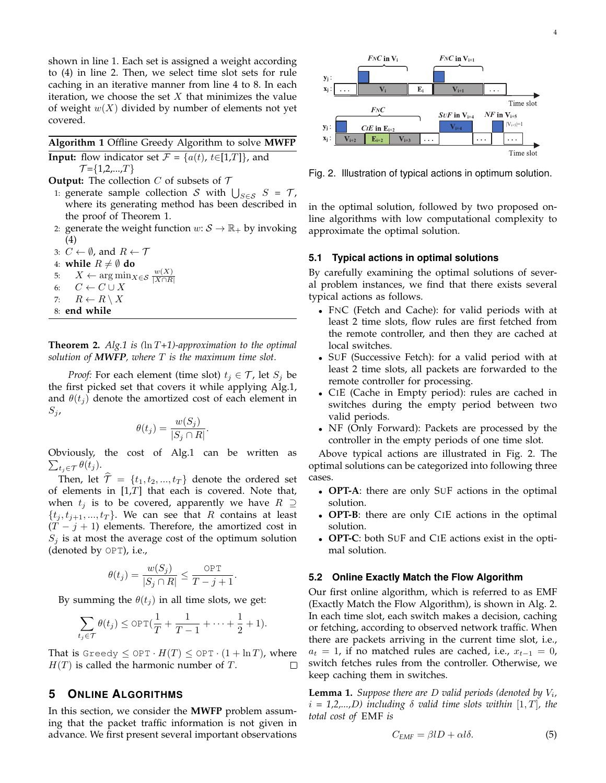shown in line 1. Each set is assigned a weight according to (4) in line 2. Then, we select time slot sets for rule caching in an iterative manner from line 4 to 8. In each iteration, we choose the set *X* that minimizes the value of weight *w*(*X*) divided by number of elements not yet covered.

**Algorithm 1** Offline Greedy Algorithm to solve **MWFP Input:** flow indicator set  $\mathcal{F} = \{a(t), t \in [1, T]\}$ , and

*T* =*{*1,2,...,*T}*

**Output:** The collection *C* of subsets of *T*

- 1: generate sample collection *S* with  $\bigcup_{S \in \mathcal{S}} S = \mathcal{T}$ , where its generating method has been described in the proof of Theorem 1.
- 2: generate the weight function  $w: \mathcal{S} \to \mathbb{R}_+$  by invoking (4)
- 3:  $C \leftarrow \emptyset$ , and  $R \leftarrow \mathcal{T}$
- 4: **while**  $R \neq \emptyset$  **do**
- 5:  $X \leftarrow \arg \min_{X \in \mathcal{S}} \frac{w(X)}{|X \cap R}$ *|X∩R|*
- 6:  $C \leftarrow C \cup X$
- 7:  $R \leftarrow R \setminus X$
- 8: **end while**

**Theorem 2.** *Alg.1 is (*ln *T+1)-approximation to the optimal solution of MWFP, where T is the maximum time slot.*

*Proof:* For each element (time slot)  $t_j \in \mathcal{T}$ , let  $S_j$  be the first picked set that covers it while applying Alg.1, and  $\theta(t_i)$  denote the amortized cost of each element in  $S_j$ ,

$$
\theta(t_j) = \frac{w(S_j)}{|S_j \cap R|}.
$$

Obviously, the cost of Alg.1 can be written as  $\sum_{t_j \in \mathcal{T}} \theta(t_j)$ .

Then, let  $\mathcal{T} = \{t_1, t_2, ..., t_T\}$  denote the ordered set of elements in [1,*T*] that each is covered. Note that, when  $t_j$  is to be covered, apparently we have  $R \supseteq R$  $\{t_j, t_{j+1}, ..., t_T\}$ . We can see that *R* contains at least  $(T - j + 1)$  elements. Therefore, the amortized cost in  $S_i$  is at most the average cost of the optimum solution (denoted by OPT), i.e.,

$$
\theta(t_j) = \frac{w(S_j)}{|S_j \cap R|} \le \frac{\text{OPT}}{T - j + 1}.
$$

By summing the  $\theta(t_i)$  in all time slots, we get:

$$
\sum_{t_j \in \mathcal{T}} \theta(t_j) \le \text{OPT}(\frac{1}{T} + \frac{1}{T-1} + \dots + \frac{1}{2} + 1).
$$

That is Greedy  $\leq$  OPT  $\cdot$  *H*(*T*)  $\leq$  OPT  $\cdot$  (1 + ln*T*), where *H*(*T*) is called the harmonic number of *T*.  $\Box$ 

## **5 ONLINE ALGORITHMS**

In this section, we consider the **MWFP** problem assuming that the packet traffic information is not given in advance. We first present several important observations



Fig. 2. Illustration of typical actions in optimum solution.

in the optimal solution, followed by two proposed online algorithms with low computational complexity to approximate the optimal solution.

#### **5.1 Typical actions in optimal solutions**

By carefully examining the optimal solutions of several problem instances, we find that there exists several typical actions as follows.

- *•* FNC (Fetch and Cache): for valid periods with at least 2 time slots, flow rules are first fetched from the remote controller, and then they are cached at local switches.
- *•* SUF (Successive Fetch): for a valid period with at least 2 time slots, all packets are forwarded to the remote controller for processing.
- *•* CIE (Cache in Empty period): rules are cached in switches during the empty period between two valid periods.
- *•* NF (Only Forward): Packets are processed by the controller in the empty periods of one time slot.

Above typical actions are illustrated in Fig. 2. The optimal solutions can be categorized into following three cases.

- *•* **OPT-A**: there are only SUF actions in the optimal solution.
- *•* **OPT-B**: there are only CIE actions in the optimal solution.
- *•* **OPT-C**: both SUF and CIE actions exist in the optimal solution.

#### **5.2 Online Exactly Match the Flow Algorithm**

Our first online algorithm, which is referred to as EMF (Exactly Match the Flow Algorithm), is shown in Alg. 2. In each time slot, each switch makes a decision, caching or fetching, according to observed network traffic. When there are packets arriving in the current time slot, i.e.,  $a_t = 1$ , if no matched rules are cached, i.e.,  $x_{t-1} = 0$ , switch fetches rules from the controller. Otherwise, we keep caching them in switches.

**Lemma 1.** *Suppose there are D valid periods (denoted by V<sup>i</sup> ,*  $i = 1, 2, \ldots, D$ *)* including  $\delta$  valid time slots within  $[1, T]$ , the *total cost of* EMF *is*

$$
C_{EMF} = \beta lD + \alpha l\delta. \tag{5}
$$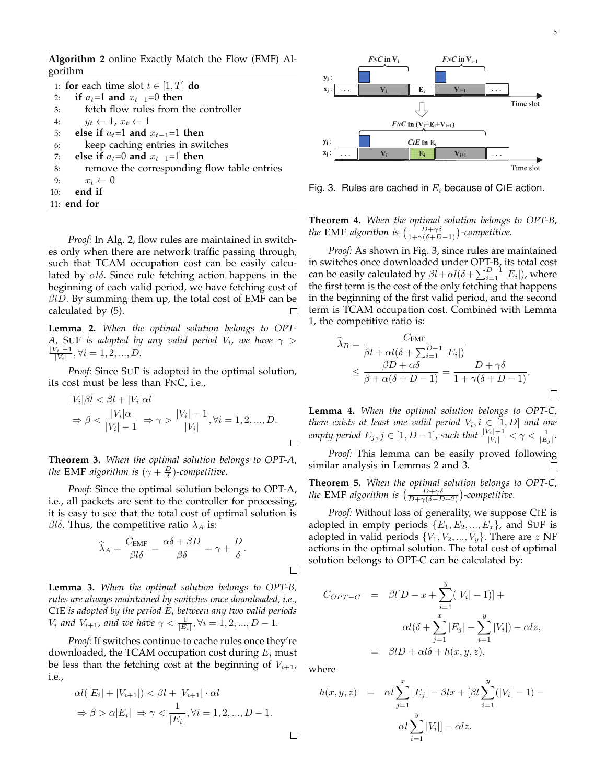**Algorithm 2** online Exactly Match the Flow (EMF) Algorithm

|    | 1: for each time slot $t \in [1, T]$ do     |
|----|---------------------------------------------|
| 2: | if $a_t=1$ and $x_{t-1}=0$ then             |
| 3: | fetch flow rules from the controller        |
| 4: | $y_t \leftarrow 1, x_t \leftarrow 1$        |
| 5: | else if $a_t=1$ and $x_{t-1}=1$ then        |
| 6: | keep caching entries in switches            |
| 7: | else if $a_t=0$ and $x_{t-1}=1$ then        |
| 8: | remove the corresponding flow table entries |
| 9: | $x_t \leftarrow 0$                          |
|    | 10: <b>end</b> if                           |
|    | 11: end for                                 |

*Proof:* In Alg. 2, flow rules are maintained in switches only when there are network traffic passing through, such that TCAM occupation cost can be easily calculated by *αlδ*. Since rule fetching action happens in the beginning of each valid period, we have fetching cost of *βlD*. By summing them up, the total cost of EMF can be calculated by (5). □

**Lemma 2.** *When the optimal solution belongs to OPT-A,* SUF is adopted by any valid period  $V_i$ , we have  $\gamma$   $>$ *|Vi|−*1  $\frac{\gamma_i|-1}{|V_i|}, \forall i = 1, 2, ..., D.$ 

*Proof:* Since SUF is adopted in the optimal solution, its cost must be less than FNC, i.e.,

$$
|V_i|\beta l < \beta l + |V_i|\alpha l
$$
\n
$$
\Rightarrow \beta < \frac{|V_i|\alpha}{|V_i|-1} \Rightarrow \gamma > \frac{|V_i|-1}{|V_i|}, \forall i = 1, 2, \dots, D.
$$

**Theorem 3.** *When the optimal solution belongs to OPT-A, the* EMF algorithm is  $(\gamma + \frac{D}{\delta})$ -competitive.

*Proof:* Since the optimal solution belongs to OPT-A, i.e., all packets are sent to the controller for processing, it is easy to see that the total cost of optimal solution is *βlδ*. Thus, the competitive ratio  $λ$ <sup>*A*</sup> is:

$$
\widehat{\lambda}_A = \frac{C_{\text{EMF}}}{\beta l \delta} = \frac{\alpha \delta + \beta D}{\beta \delta} = \gamma + \frac{D}{\delta}.
$$

**Lemma 3.** *When the optimal solution belongs to OPT-B, rules are always maintained by switches once downloaded, i.e.,* CIE *is adopted by the period E<sup>i</sup> between any two valid periods V*<sub>*i*</sub> and *V*<sub>*i*+1</sub>, and we have  $\gamma < \frac{1}{|E_i|}, \forall i = 1, 2, ..., D - 1$ .

*Proof:* If switches continue to cache rules once they're downloaded, the TCAM occupation cost during *E<sup>i</sup>* must be less than the fetching cost at the beginning of  $V_{i+1}$ , i.e.,

$$
\alpha l(|E_i| + |V_{i+1}|) < \beta l + |V_{i+1}| \cdot \alpha l
$$
\n
$$
\Rightarrow \beta > \alpha |E_i| \Rightarrow \gamma < \frac{1}{|E_i|}, \forall i = 1, 2, \dots, D - 1.
$$



Fig. 3. Rules are cached in *E<sup>i</sup>* because of CIE action.

**Theorem 4.** *When the optimal solution belongs to OPT-B, the* EMF *algorithm is*  $\left(\frac{D+\gamma\delta}{1+\gamma(\delta+D-1)}\right)$ -competitive.

*Proof:* As shown in Fig. 3, since rules are maintained in switches once downloaded under OPT-B, its total cost can be easily calculated by  $\beta l + \alpha l(\delta + \sum_{i=1}^{D-1} |E_i|)$ , where the first term is the cost of the only fetching that happens in the beginning of the first valid period, and the second term is TCAM occupation cost. Combined with Lemma 1, the competitive ratio is:

$$
\widehat{\lambda}_B = \frac{C_{\text{EMF}}}{\beta l + \alpha l(\delta + \sum_{i=1}^{D-1} |E_i|)} \n\leq \frac{\beta D + \alpha \delta}{\beta + \alpha(\delta + D - 1)} = \frac{D + \gamma \delta}{1 + \gamma(\delta + D - 1)}.
$$

**Lemma 4.** *When the optimal solution belongs to OPT-C, there exists at least one valid period*  $V_i, i \in [1, D]$  and one *empty period*  $E_j, j \in [1, D-1]$ *, such that*  $\frac{|V_i|-1}{|V_i|} < \gamma < \frac{1}{|E_j|}$ *.* 

*Proof:* This lemma can be easily proved following similar analysis in Lemmas 2 and 3.  $\Box$ 

**Theorem 5.** *When the optimal solution belongs to OPT-C, the* EMF *algorithm is*  $\left(\frac{D+\gamma\delta}{D+\gamma(\delta-D+2)}\right)$ -competitive.

*Proof:* Without loss of generality, we suppose CIE is adopted in empty periods  ${E_1, E_2, ..., E_x}$ , and SUF is adopted in valid periods  $\{V_1, V_2, ..., V_y\}$ . There are *z* NF actions in the optimal solution. The total cost of optimal solution belongs to OPT-C can be calculated by:

$$
C_{OPT-C} = \beta l[D - x + \sum_{i=1}^{y} (|V_i| - 1)] +
$$
  
\n
$$
\alpha l(\delta + \sum_{j=1}^{x} |E_j| - \sum_{i=1}^{y} |V_i|) - \alpha l z,
$$
  
\n
$$
= \beta l D + \alpha l \delta + h(x, y, z),
$$

where

 $\Box$ 

$$
h(x, y, z) = \alpha l \sum_{j=1}^{x} |E_j| - \beta l x + [\beta l \sum_{i=1}^{y} (|V_i| - 1) - \alpha l \sum_{i=1}^{y} |V_i|] - \alpha l z.
$$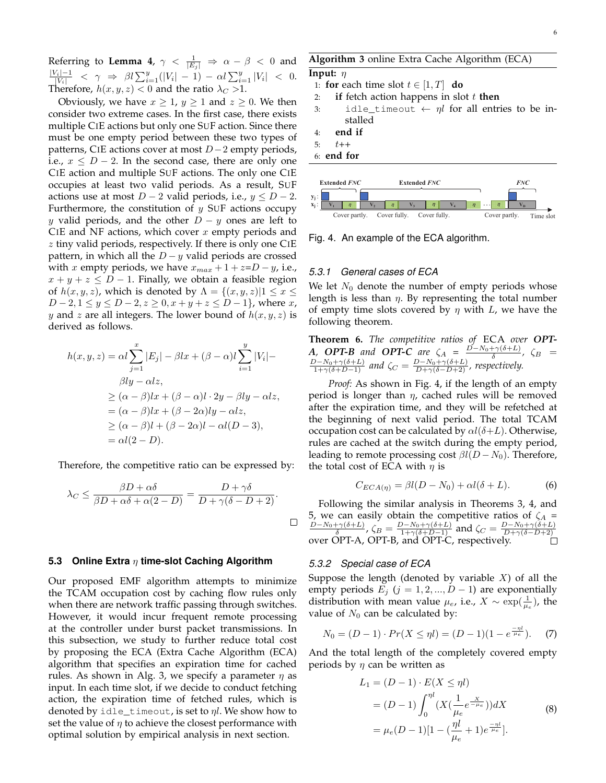Referring to **Lemma 4**,  $\gamma < \frac{1}{|E_j|} \Rightarrow \alpha - \beta < 0$  and  $\frac{|V_i|-1}{|V_i|} < \gamma \Rightarrow \beta l \sum_{i=1}^y (|V_i|-1) - \alpha l \sum_{i=1}^y |V_i| < 0.$ Therefore,  $h(x, y, z) < 0$  and the ratio  $\lambda_C > 1$ .

Obviously, we have  $x \geq 1$ ,  $y \geq 1$  and  $z \geq 0$ . We then consider two extreme cases. In the first case, there exists multiple CIE actions but only one SUF action. Since there must be one empty period between these two types of patterns, CIE actions cover at most *D−*2 empty periods, i.e.,  $x \leq D-2$ . In the second case, there are only one CIE action and multiple SUF actions. The only one CIE occupies at least two valid periods. As a result, SUF actions use at most  $D-2$  valid periods, i.e.,  $y \le D-2$ . Furthermore, the constitution of *y* SUF actions occupy *y* valid periods, and the other *D − y* ones are left to CIE and NF actions, which cover *x* empty periods and *z* tiny valid periods, respectively. If there is only one CIE pattern, in which all the *D − y* valid periods are crossed with *x* empty periods, we have  $x_{max} + 1 + z = D - y$ , i.e.,  $x + y + z \le D - 1$ . Finally, we obtain a feasible region of  $h(x, y, z)$ , which is denoted by  $\Lambda = \{(x, y, z) | 1 \leq x \leq z\}$ *D* − 2*,* 1 ≤ *y* ≤ *D* − 2*, z* ≥ 0*, x* + *y* + *z* ≤ *D* − 1*}*, where *x*, *y* and *z* are all integers. The lower bound of *h*(*x, y, z*) is derived as follows.

$$
h(x, y, z) = \alpha l \sum_{j=1}^{x} |E_j| - \beta l x + (\beta - \alpha) l \sum_{i=1}^{y} |V_i| - \beta l y - \alpha l z,
$$
  
\n
$$
\geq (\alpha - \beta) l x + (\beta - \alpha) l \cdot 2y - \beta l y - \alpha l z,
$$
  
\n
$$
= (\alpha - \beta) l x + (\beta - 2\alpha) l y - \alpha l z,
$$
  
\n
$$
\geq (\alpha - \beta) l + (\beta - 2\alpha) l - \alpha l (D - 3),
$$
  
\n
$$
= \alpha l (2 - D).
$$

Therefore, the competitive ratio can be expressed by:

$$
\lambda_C \le \frac{\beta D + \alpha \delta}{\beta D + \alpha \delta + \alpha (2 - D)} = \frac{D + \gamma \delta}{D + \gamma (\delta - D + 2)}.
$$

## **5.3 Online Extra** *η* **time-slot Caching Algorithm**

Our proposed EMF algorithm attempts to minimize the TCAM occupation cost by caching flow rules only when there are network traffic passing through switches. However, it would incur frequent remote processing at the controller under burst packet transmissions. In this subsection, we study to further reduce total cost by proposing the ECA (Extra Cache Algorithm (ECA) algorithm that specifies an expiration time for cached rules. As shown in Alg. 3, we specify a parameter *η* as input. In each time slot, if we decide to conduct fetching action, the expiration time of fetched rules, which is denoted by idle\_timeout, is set to *ηl*. We show how to set the value of  $\eta$  to achieve the closest performance with optimal solution by empirical analysis in next section.

## **Algorithm 3** online Extra Cache Algorithm (ECA)

#### **Input:** *η*

- 1: **for** each time slot  $t \in [1, T]$  **do**
- 2: **if** fetch action happens in slot *t* **then**
- 3: idle\_timeout  $\leftarrow$  *ηl* for all entries to be installed
- 4: **end if**
- 5: *t*++
- 6: **end for**



Fig. 4. An example of the ECA algorithm.

#### *5.3.1 General cases of ECA*

We let  $N_0$  denote the number of empty periods whose length is less than *η*. By representing the total number of empty time slots covered by *η* with *L*, we have the following theorem.

**Theorem 6.** *The competitive ratios of* ECA *over OPT-A*, *OPT-B* and *OPT-C* are  $\zeta_A = \frac{D - N_0 + \gamma(\delta + L)}{\delta}$ ,  $\zeta_B =$  $\frac{D-N_0+\gamma(\delta+L)}{1+\gamma(\delta+D-1)}$  and  $\zeta_C = \frac{D-N_0+\gamma(\delta+L)}{D+\gamma(\delta-D+2)}$ , respectively.

*Proof:* As shown in Fig. 4, if the length of an empty period is longer than *η*, cached rules will be removed after the expiration time, and they will be refetched at the beginning of next valid period. The total TCAM occupation cost can be calculated by *αl*(*δ*+*L*). Otherwise, rules are cached at the switch during the empty period, leading to remote processing cost  $\beta l(D - N_0)$ . Therefore, the total cost of ECA with *η* is

$$
C_{ECA(\eta)} = \beta l(D - N_0) + \alpha l(\delta + L). \tag{6}
$$

Following the similar analysis in Theorems 3, 4, and 5, we can easily obtain the competitive ratios of  $\zeta_A$  =  $\frac{D-N_0+\gamma(\delta+L)}{\delta}$ ,  $\zeta_B = \frac{D-N_0+\gamma(\delta+L)}{1+\gamma(\delta+D-1)}$  and  $\zeta_C = \frac{D-N_0+\gamma(\delta+L)}{D+\gamma(\delta-D+2)}$ *D*+*γ*(*δ−D*+2) over OPT-A, OPT-B, and OPT-C, respectively.

#### *5.3.2 Special case of ECA*

Suppose the length (denoted by variable *X*) of all the empty periods  $E_j$  ( $j = 1, 2, ..., D - 1$ ) are exponentially distribution with mean value  $\mu_e$ , i.e.,  $X \sim \exp(\frac{1}{\mu_e})$ , the value of  $N_0$  can be calculated by:

$$
N_0 = (D - 1) \cdot Pr(X \le \eta l) = (D - 1)(1 - e^{\frac{-\eta l}{\mu_e}}). \tag{7}
$$

And the total length of the completely covered empty periods by *η* can be written as

$$
L_1 = (D - 1) \cdot E(X \le \eta l)
$$
  
=  $(D - 1) \int_0^{\eta l} (X(\frac{1}{\mu_e} e^{-\frac{X}{\mu_e}}))dX$  (8)  
=  $\mu_e (D - 1)[1 - (\frac{\eta l}{\mu_e} + 1)e^{\frac{-\eta l}{\mu_e}}].$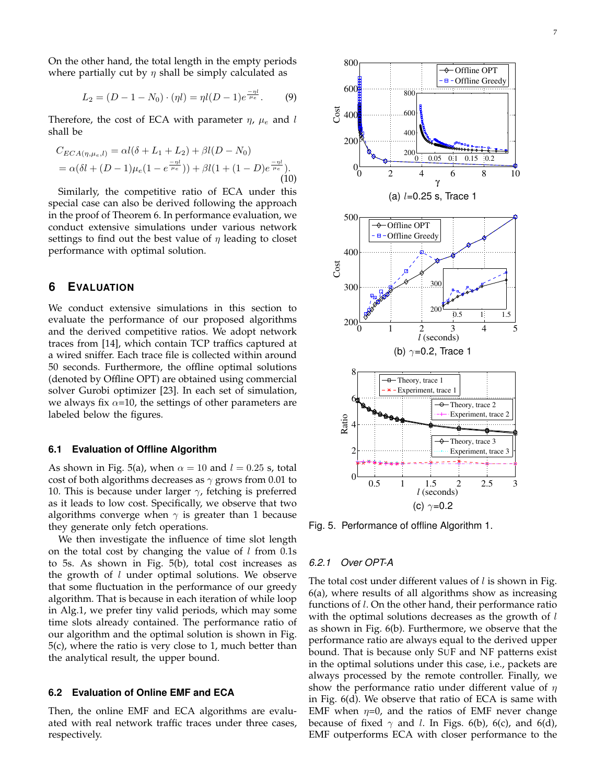On the other hand, the total length in the empty periods where partially cut by *η* shall be simply calculated as

$$
L_2 = (D - 1 - N_0) \cdot (\eta l) = \eta l (D - 1) e^{\frac{-\eta l}{\mu_e}}.
$$
 (9)

Therefore, the cost of ECA with parameter *η*, *µ<sup>e</sup>* and *l* shall be

$$
C_{ECA(\eta,\mu_e,l)} = \alpha l(\delta + L_1 + L_2) + \beta l(D - N_0)
$$
  
=  $\alpha (\delta l + (D - 1)\mu_e (1 - e^{\frac{-\eta l}{\mu_e}})) + \beta l(1 + (1 - D)e^{\frac{-\eta l}{\mu_e}}).$  (10)

Similarly, the competitive ratio of ECA under this special case can also be derived following the approach in the proof of Theorem 6. In performance evaluation, we conduct extensive simulations under various network settings to find out the best value of *η* leading to closet performance with optimal solution.

# **6 EVALUATION**

We conduct extensive simulations in this section to evaluate the performance of our proposed algorithms and the derived competitive ratios. We adopt network traces from [14], which contain TCP traffics captured at a wired sniffer. Each trace file is collected within around 50 seconds. Furthermore, the offline optimal solutions (denoted by Offline OPT) are obtained using commercial solver Gurobi optimizer [23]. In each set of simulation, we always fix *α*=10, the settings of other parameters are labeled below the figures.

#### **6.1 Evaluation of Offline Algorithm**

As shown in Fig. 5(a), when  $\alpha = 10$  and  $l = 0.25$  s, total cost of both algorithms decreases as *γ* grows from 0.01 to 10. This is because under larger *γ*, fetching is preferred as it leads to low cost. Specifically, we observe that two algorithms converge when *γ* is greater than 1 because they generate only fetch operations.

We then investigate the influence of time slot length on the total cost by changing the value of *l* from 0.1s to 5s. As shown in Fig. 5(b), total cost increases as the growth of *l* under optimal solutions. We observe that some fluctuation in the performance of our greedy algorithm. That is because in each iteration of while loop in Alg.1, we prefer tiny valid periods, which may some time slots already contained. The performance ratio of our algorithm and the optimal solution is shown in Fig. 5(c), where the ratio is very close to 1, much better than the analytical result, the upper bound.

## **6.2 Evaluation of Online EMF and ECA**

Then, the online EMF and ECA algorithms are evaluated with real network traffic traces under three cases, respectively.



Fig. 5. Performance of offline Algorithm 1.

#### *6.2.1 Over OPT-A*

The total cost under different values of *l* is shown in Fig. 6(a), where results of all algorithms show as increasing functions of *l*. On the other hand, their performance ratio with the optimal solutions decreases as the growth of *l* as shown in Fig. 6(b). Furthermore, we observe that the performance ratio are always equal to the derived upper bound. That is because only SUF and NF patterns exist in the optimal solutions under this case, i.e., packets are always processed by the remote controller. Finally, we show the performance ratio under different value of *η* in Fig. 6(d). We observe that ratio of ECA is same with EMF when  $\eta=0$ , and the ratios of EMF never change because of fixed  $\gamma$  and *l*. In Figs. 6(b), 6(c), and 6(d), EMF outperforms ECA with closer performance to the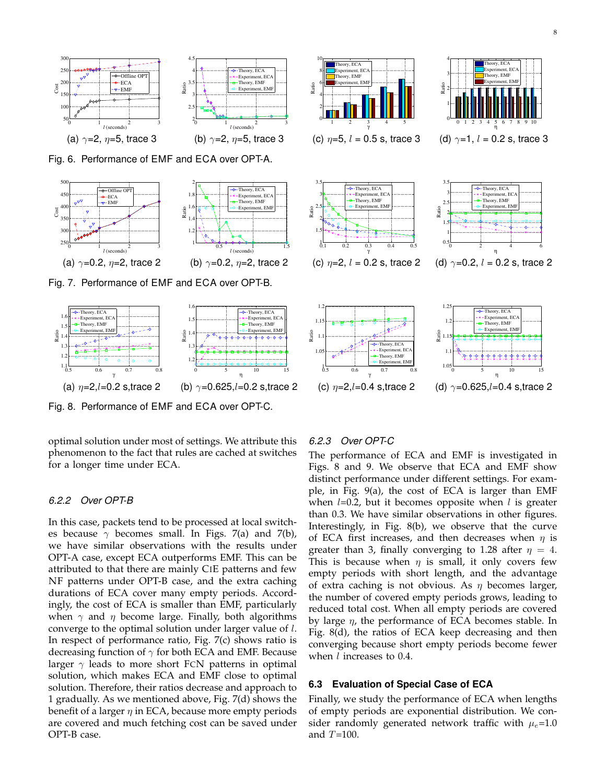

Fig. 6. Performance of EMF and ECA over OPT-A.



Fig. 7. Performance of EMF and ECA over OPT-B.



Fig. 8. Performance of EMF and ECA over OPT-C.

optimal solution under most of settings. We attribute this phenomenon to the fact that rules are cached at switches for a longer time under ECA.

#### *6.2.2 Over OPT-B*

In this case, packets tend to be processed at local switches because  $\gamma$  becomes small. In Figs. 7(a) and 7(b), we have similar observations with the results under OPT-A case, except ECA outperforms EMF. This can be attributed to that there are mainly CIE patterns and few NF patterns under OPT-B case, and the extra caching durations of ECA cover many empty periods. Accordingly, the cost of ECA is smaller than EMF, particularly when *γ* and *η* become large. Finally, both algorithms converge to the optimal solution under larger value of *l*. In respect of performance ratio, Fig. 7(c) shows ratio is decreasing function of *γ* for both ECA and EMF. Because larger *γ* leads to more short FCN patterns in optimal solution, which makes ECA and EMF close to optimal solution. Therefore, their ratios decrease and approach to 1 gradually. As we mentioned above, Fig. 7(d) shows the benefit of a larger *η* in ECA, because more empty periods are covered and much fetching cost can be saved under OPT-B case.



 $4-$ 

Theory, ECA

(c) *η*=2,*l*=0.4 s,trace 2 (d) *γ*=0.625,*l*=0.4 s,trace 2

#### *6.2.3 Over OPT-C*

 $10<sub>II</sub>$ 

Theory, ECA

The performance of ECA and EMF is investigated in Figs. 8 and 9. We observe that ECA and EMF show distinct performance under different settings. For example, in Fig. 9(a), the cost of ECA is larger than EMF when *l*=0.2, but it becomes opposite when *l* is greater than 0.3. We have similar observations in other figures. Interestingly, in Fig. 8(b), we observe that the curve of ECA first increases, and then decreases when *η* is greater than 3, finally converging to 1.28 after  $\eta = 4$ . This is because when  $\eta$  is small, it only covers few empty periods with short length, and the advantage of extra caching is not obvious. As *η* becomes larger, the number of covered empty periods grows, leading to reduced total cost. When all empty periods are covered by large *η*, the performance of ECA becomes stable. In Fig. 8(d), the ratios of ECA keep decreasing and then converging because short empty periods become fewer when *l* increases to 0.4.

# **6.3 Evaluation of Special Case of ECA**

Finally, we study the performance of ECA when lengths of empty periods are exponential distribution. We consider randomly generated network traffic with  $\mu_e$ =1.0 and *T*=100.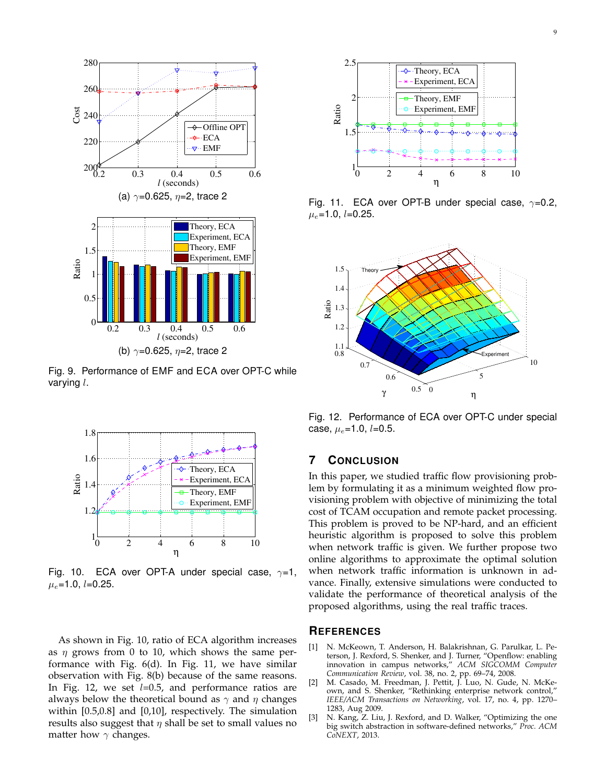

Fig. 9. Performance of EMF and ECA over OPT-C while varying *l*.



Fig. 10. ECA over OPT-A under special case, *γ*=1, *µe*=1.0, *l*=0.25.

As shown in Fig. 10, ratio of ECA algorithm increases as *η* grows from 0 to 10, which shows the same performance with Fig. 6(d). In Fig. 11, we have similar observation with Fig. 8(b) because of the same reasons. In Fig. 12, we set *l*=0.5, and performance ratios are always below the theoretical bound as *γ* and *η* changes within [0.5,0.8] and [0,10], respectively. The simulation results also suggest that  $\eta$  shall be set to small values no matter how *γ* changes.



Fig. 11. ECA over OPT-B under special case, *γ*=0.2, *µe*=1.0, *l*=0.25.



Fig. 12. Performance of ECA over OPT-C under special case, *µe*=1.0, *l*=0.5.

# **7 CONCLUSION**

In this paper, we studied traffic flow provisioning problem by formulating it as a minimum weighted flow provisioning problem with objective of minimizing the total cost of TCAM occupation and remote packet processing. This problem is proved to be NP-hard, and an efficient heuristic algorithm is proposed to solve this problem when network traffic is given. We further propose two online algorithms to approximate the optimal solution when network traffic information is unknown in advance. Finally, extensive simulations were conducted to validate the performance of theoretical analysis of the proposed algorithms, using the real traffic traces.

# **REFERENCES**

- [1] N. McKeown, T. Anderson, H. Balakrishnan, G. Parulkar, L. Peterson, J. Rexford, S. Shenker, and J. Turner, "Openflow: enabling innovation in campus networks," *ACM SIGCOMM Computer Communication Review*, vol. 38, no. 2, pp. 69–74, 2008.
- [2] M. Casado, M. Freedman, J. Pettit, J. Luo, N. Gude, N. McKeown, and S. Shenker, "Rethinking enterprise network control," *IEEE/ACM Transactions on Networking*, vol. 17, no. 4, pp. 1270– 1283, Aug 2009.
- [3] N. Kang, Z. Liu, J. Rexford, and D. Walker, "Optimizing the one big switch abstraction in software-defined networks," *Proc. ACM CoNEXT*, 2013.